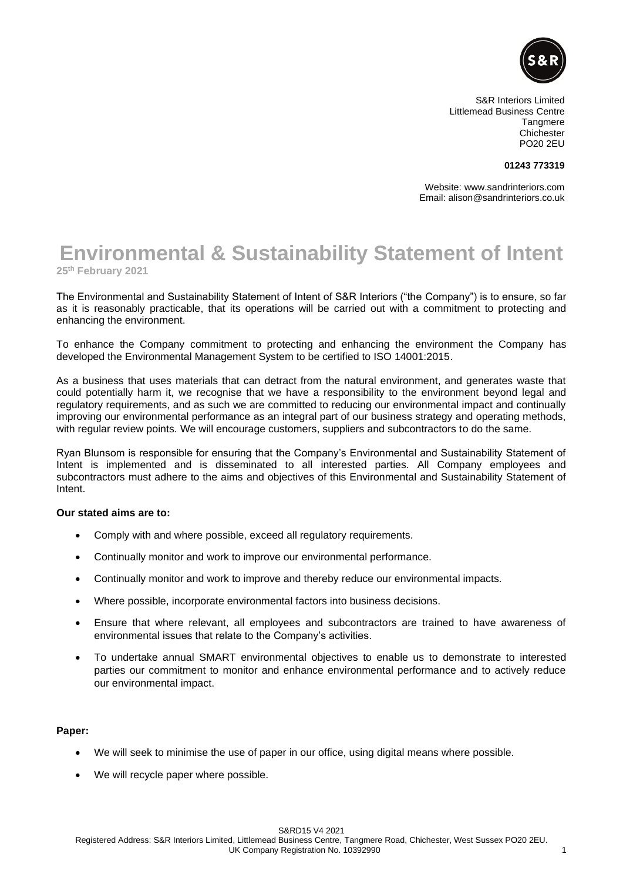

S&R Interiors Limited Littlemead Business Centre **Tangmere** Chichester PO20 2EU

#### **01243 773319**

Website: www.sandrinteriors.com Email: alison@sandrinteriors.co.uk

# **Environmental & Sustainability Statement of Intent 25th February 2021**

The Environmental and Sustainability Statement of Intent of S&R Interiors ("the Company") is to ensure, so far as it is reasonably practicable, that its operations will be carried out with a commitment to protecting and enhancing the environment.

To enhance the Company commitment to protecting and enhancing the environment the Company has developed the Environmental Management System to be certified to ISO 14001:2015.

As a business that uses materials that can detract from the natural environment, and generates waste that could potentially harm it, we recognise that we have a responsibility to the environment beyond legal and regulatory requirements, and as such we are committed to reducing our environmental impact and continually improving our environmental performance as an integral part of our business strategy and operating methods, with regular review points. We will encourage customers, suppliers and subcontractors to do the same.

Ryan Blunsom is responsible for ensuring that the Company's Environmental and Sustainability Statement of Intent is implemented and is disseminated to all interested parties. All Company employees and subcontractors must adhere to the aims and objectives of this Environmental and Sustainability Statement of Intent.

# **Our stated aims are to:**

- Comply with and where possible, exceed all regulatory requirements.
- Continually monitor and work to improve our environmental performance.
- Continually monitor and work to improve and thereby reduce our environmental impacts.
- Where possible, incorporate environmental factors into business decisions.
- Ensure that where relevant, all employees and subcontractors are trained to have awareness of environmental issues that relate to the Company's activities.
- To undertake annual SMART environmental objectives to enable us to demonstrate to interested parties our commitment to monitor and enhance environmental performance and to actively reduce our environmental impact.

# **Paper:**

- We will seek to minimise the use of paper in our office, using digital means where possible.
- We will recycle paper where possible.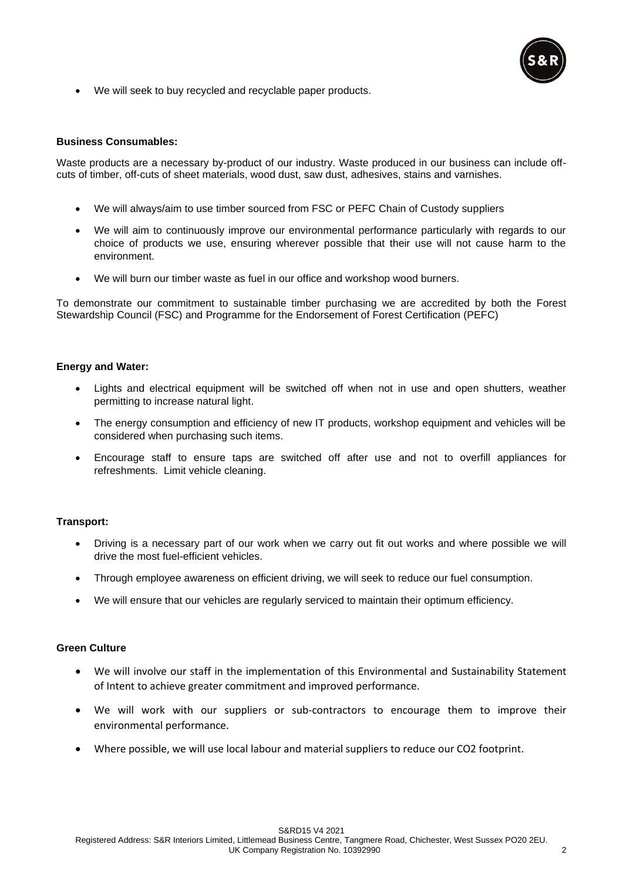

• We will seek to buy recycled and recyclable paper products.

# **Business Consumables:**

Waste products are a necessary by-product of our industry. Waste produced in our business can include offcuts of timber, off-cuts of sheet materials, wood dust, saw dust, adhesives, stains and varnishes.

- We will always/aim to use timber sourced from FSC or PEFC Chain of Custody suppliers
- We will aim to continuously improve our environmental performance particularly with regards to our choice of products we use, ensuring wherever possible that their use will not cause harm to the environment.
- We will burn our timber waste as fuel in our office and workshop wood burners.

To demonstrate our commitment to sustainable timber purchasing we are accredited by both the Forest Stewardship Council (FSC) and Programme for the Endorsement of Forest Certification (PEFC)

# **Energy and Water:**

- Lights and electrical equipment will be switched off when not in use and open shutters, weather permitting to increase natural light.
- The energy consumption and efficiency of new IT products, workshop equipment and vehicles will be considered when purchasing such items.
- Encourage staff to ensure taps are switched off after use and not to overfill appliances for refreshments. Limit vehicle cleaning.

# **Transport:**

- Driving is a necessary part of our work when we carry out fit out works and where possible we will drive the most fuel-efficient vehicles.
- Through employee awareness on efficient driving, we will seek to reduce our fuel consumption.
- We will ensure that our vehicles are regularly serviced to maintain their optimum efficiency.

# **Green Culture**

- We will involve our staff in the implementation of this Environmental and Sustainability Statement of Intent to achieve greater commitment and improved performance.
- We will work with our suppliers or sub-contractors to encourage them to improve their environmental performance.
- Where possible, we will use local labour and material suppliers to reduce our CO2 footprint.